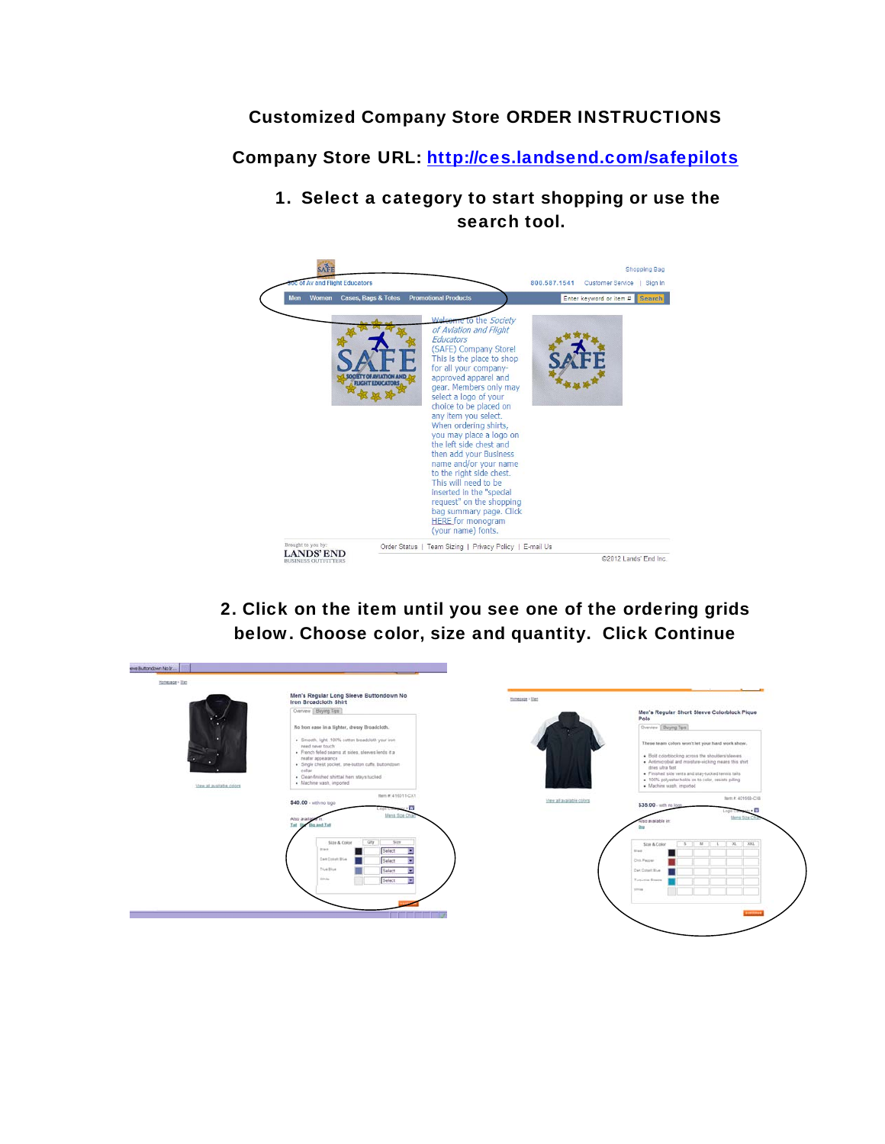## Customized Company Store ORDER INSTRUCTIONS

Company Store URL: http://ces.landsend.com/safepilots

1. Select a category to start shopping or use the search tool.



2. Click on the item until you see one of the ordering grids below. Choose color, size and quantity. Click Continue

| Honecage > Med            | Men's Regular Long Sleeve Buttondown No                                  |                           |                                                                                                            |
|---------------------------|--------------------------------------------------------------------------|---------------------------|------------------------------------------------------------------------------------------------------------|
| View all available colors | Iron Broadcloth Shirt                                                    | Hampster > Her.           |                                                                                                            |
|                           | Overview Buying Tips                                                     |                           | Men's Regular Short Sleeve Colorblock Pique                                                                |
|                           | No from ease in a lighter, dressy Broadcloth.                            |                           | Polo                                                                                                       |
|                           |                                                                          |                           | Overview   Buying Tips                                                                                     |
|                           | · Smooth, light, 100% cotton broadcloth your iron                        |                           | These team colors won't let your hard work show.                                                           |
|                           | need never touch<br>· French felled seams at sides, sleeves lends it a   |                           |                                                                                                            |
|                           | neater appearance<br>· Single chest pocket, one-button cuffs, buttondown |                           | . Bold colorbiocking across the shoulders/sleeves<br>. Antimicrobial and moisture-wicking means this shirt |
|                           | colar                                                                    |                           | dries ultra fast<br>. Finished side vents and stay-tucked tennis talls                                     |
|                           | · Clean-finished shirttail hem stays tucked<br>· Machine wash, imported  |                           | . 100% polyester holds on to color, resists pilling                                                        |
|                           |                                                                          |                           | · Machine wash, imported                                                                                   |
|                           | flem #: 416011-CX1<br>\$40.00 - with no logo                             | View all available colors | fem # 401668-C18                                                                                           |
|                           | . W                                                                      |                           | \$35.00 - with no logg                                                                                     |
|                           | <b>Mens Size Ch</b><br>Also availab                                      |                           | <b>Mens Size C</b><br><b>Vss available</b>                                                                 |
|                           | This the<br>the and Tall                                                 |                           |                                                                                                            |
|                           | City<br>5110<br>Sizio & Color                                            |                           | $\mathbb{R}$<br>L 31 331<br>$\overline{\mathbf{S}}$                                                        |
|                           | Biam.<br>Select                                                          |                           | Size & Color<br><b>River</b>                                                                               |
|                           | Can Colat BLA<br>Select                                                  |                           | Chris Pacowi                                                                                               |
|                           | Trial Blue<br>Select                                                     |                           | Dark Colvert Street                                                                                        |
|                           | <b>Minisher</b><br>Select                                                |                           | Turnumes firests                                                                                           |
|                           |                                                                          |                           | <b>STORY</b>                                                                                               |
|                           |                                                                          |                           |                                                                                                            |
|                           |                                                                          |                           |                                                                                                            |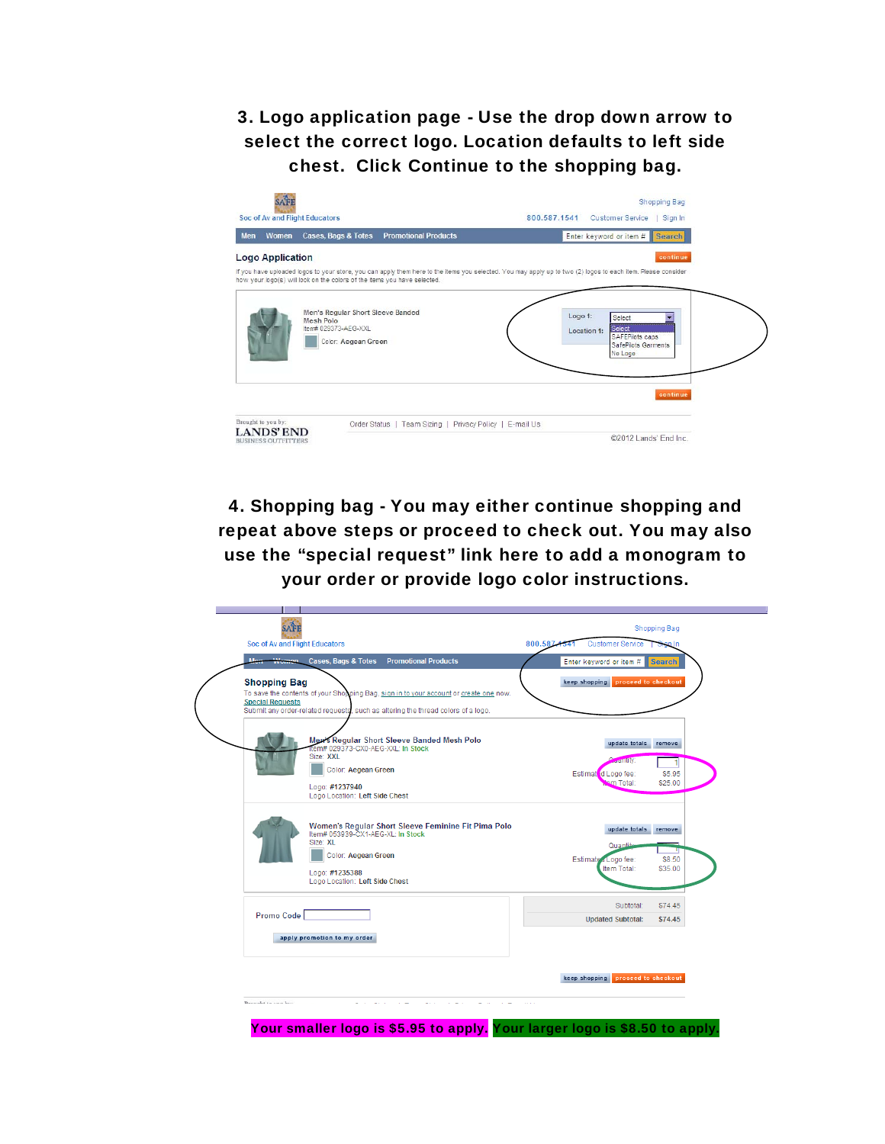3. Logo application page - Use the drop down arrow to select the correct logo. Location defaults to left side chest. Click Continue to the shopping bag.



4. Shopping bag - You may either continue shopping and repeat above steps or proceed to check out. You may also use the "special request" link here to add a monogram to your order or provide logo color instructions.



Your smaller logo is \$5.95 to apply. Your larger logo is \$8.50 to apply